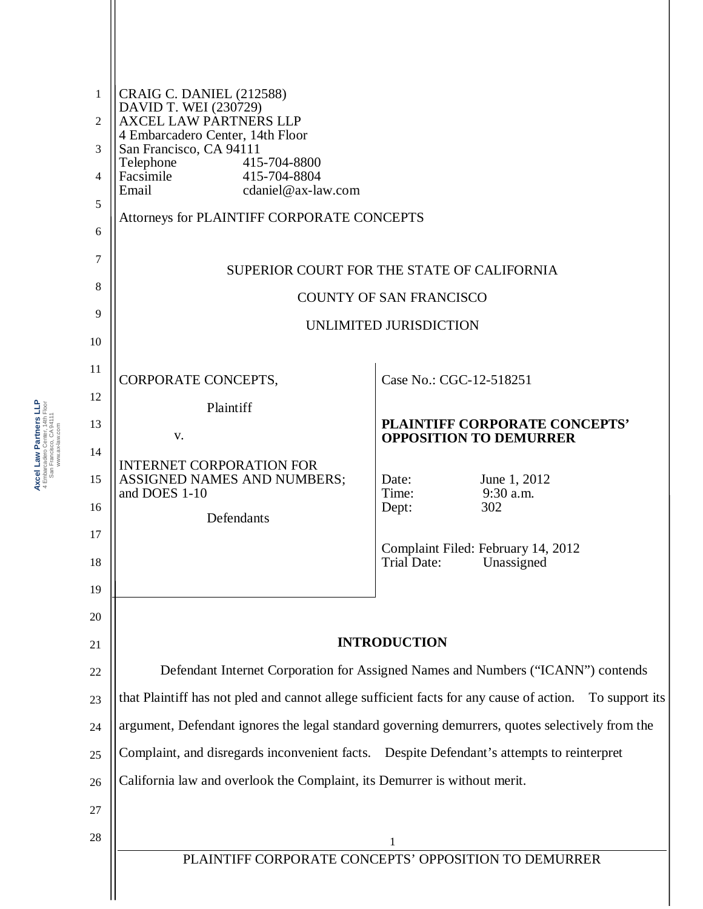| $\mathbf{1}$ | <b>CRAIG C. DANIEL (212588)</b><br>DAVID T. WEI (230729)                                                  |                                                                 |  |
|--------------|-----------------------------------------------------------------------------------------------------------|-----------------------------------------------------------------|--|
| 2            | <b>AXCEL LAW PARTNERS LLP</b><br>4 Embarcadero Center, 14th Floor                                         |                                                                 |  |
| 3            | San Francisco, CA 94111<br>Telephone<br>415-704-8800                                                      |                                                                 |  |
| 4            | Facsimile<br>415-704-8804<br>Email<br>cdaniel@ax-law.com                                                  |                                                                 |  |
| 5            | Attorneys for PLAINTIFF CORPORATE CONCEPTS                                                                |                                                                 |  |
| 6            |                                                                                                           |                                                                 |  |
| 7            | SUPERIOR COURT FOR THE STATE OF CALIFORNIA                                                                |                                                                 |  |
| 8            | <b>COUNTY OF SAN FRANCISCO</b>                                                                            |                                                                 |  |
| 9<br>10      | UNLIMITED JURISDICTION                                                                                    |                                                                 |  |
| 11           |                                                                                                           |                                                                 |  |
| 12           | CORPORATE CONCEPTS,                                                                                       | Case No.: CGC-12-518251                                         |  |
| 13           | Plaintiff                                                                                                 | PLAINTIFF CORPORATE CONCEPTS'                                   |  |
| 14           | V.                                                                                                        | <b>OPPOSITION TO DEMURRER</b>                                   |  |
| 15           | <b>INTERNET CORPORATION FOR</b><br>ASSIGNED NAMES AND NUMBERS;                                            | June 1, 2012<br>Date:                                           |  |
| 16           | and DOES 1-10                                                                                             | Time:<br>9:30 a.m.<br>302<br>Dept:                              |  |
| $17\,$       | Defendants                                                                                                |                                                                 |  |
| 18           |                                                                                                           | Complaint Filed: February 14, 2012<br>Trial Date:<br>Unassigned |  |
| 19           |                                                                                                           |                                                                 |  |
| 20           |                                                                                                           |                                                                 |  |
| 21           | <b>INTRODUCTION</b>                                                                                       |                                                                 |  |
| 22           | Defendant Internet Corporation for Assigned Names and Numbers ("ICANN") contends                          |                                                                 |  |
| 23           | that Plaintiff has not pled and cannot allege sufficient facts for any cause of action.<br>To support its |                                                                 |  |
| 24           | argument, Defendant ignores the legal standard governing demurrers, quotes selectively from the           |                                                                 |  |
| 25           | Complaint, and disregards inconvenient facts.  Despite Defendant's attempts to reinterpret                |                                                                 |  |
| 26           | California law and overlook the Complaint, its Demurrer is without merit.                                 |                                                                 |  |
| 27           |                                                                                                           |                                                                 |  |
| 28           | 1                                                                                                         |                                                                 |  |
|              | PLAINTIFF CORPORATE CONCEPTS' OPPOSITION TO DEMURRER                                                      |                                                                 |  |
|              |                                                                                                           |                                                                 |  |

Axcel Law Partners LLP<br>4 Embarcadero Center, 14th Floor<br>San Francisco, CA 94111<br>www.ax-law.com **Axcel Law Partners LLP** 4 Embarcadero Center, 14th Floor San Francisco, CA 94111 www.ax-law.com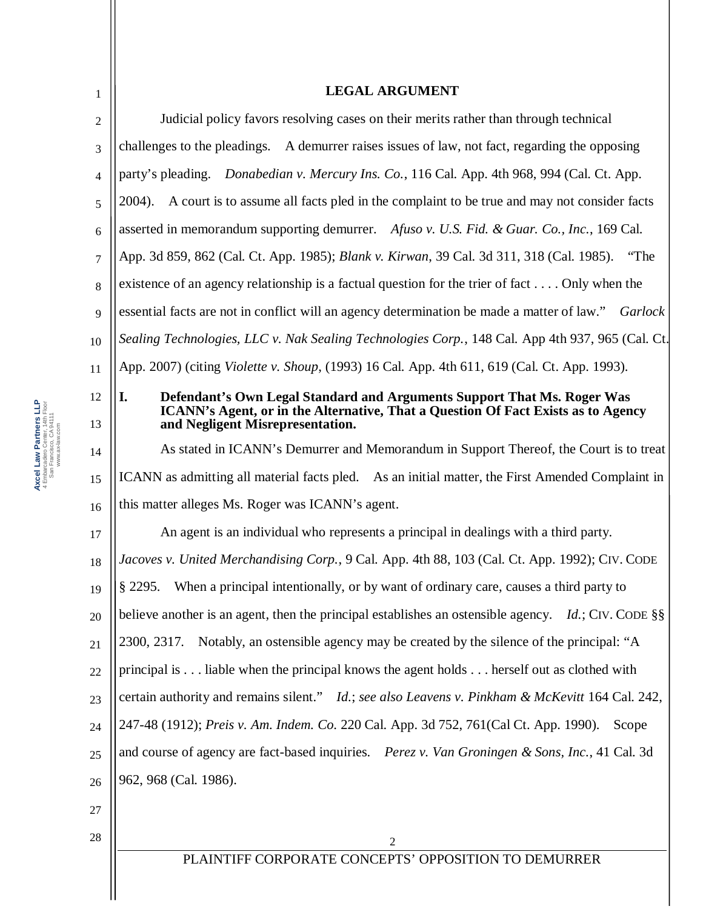| 1        | <b>LEGAL ARGUMENT</b>                                                                                                                                                                                  |  |
|----------|--------------------------------------------------------------------------------------------------------------------------------------------------------------------------------------------------------|--|
| 2        | Judicial policy favors resolving cases on their merits rather than through technical                                                                                                                   |  |
| 3        | challenges to the pleadings. A demurrer raises issues of law, not fact, regarding the opposing                                                                                                         |  |
| 4        | party's pleading. Donabedian v. Mercury Ins. Co., 116 Cal. App. 4th 968, 994 (Cal. Ct. App.                                                                                                            |  |
| 5        | 2004). A court is to assume all facts pled in the complaint to be true and may not consider facts                                                                                                      |  |
| 6        | asserted in memorandum supporting demurrer. Afuso v. U.S. Fid. & Guar. Co., Inc., 169 Cal.                                                                                                             |  |
| 7        | App. 3d 859, 862 (Cal. Ct. App. 1985); Blank v. Kirwan, 39 Cal. 3d 311, 318 (Cal. 1985). "The                                                                                                          |  |
| 8        | existence of an agency relationship is a factual question for the trier of fact $\dots$ . Only when the                                                                                                |  |
| 9        | essential facts are not in conflict will an agency determination be made a matter of law."<br>Garlock                                                                                                  |  |
| 10       | Sealing Technologies, LLC v. Nak Sealing Technologies Corp., 148 Cal. App 4th 937, 965 (Cal. Ct.                                                                                                       |  |
| 11       | App. 2007) (citing Violette v. Shoup, (1993) 16 Cal. App. 4th 611, 619 (Cal. Ct. App. 1993).                                                                                                           |  |
| 12<br>13 | Defendant's Own Legal Standard and Arguments Support That Ms. Roger Was<br>I.<br>ICANN's Agent, or in the Alternative, That a Question Of Fact Exists as to Agency<br>and Negligent Misrepresentation. |  |
| 14       | As stated in ICANN's Demurrer and Memorandum in Support Thereof, the Court is to treat                                                                                                                 |  |
| 15       | ICANN as admitting all material facts pled. As an initial matter, the First Amended Complaint in                                                                                                       |  |
| 16       | this matter alleges Ms. Roger was ICANN's agent.                                                                                                                                                       |  |
| 17       | An agent is an individual who represents a principal in dealings with a third party.                                                                                                                   |  |
| 18       | Jacoves v. United Merchandising Corp., 9 Cal. App. 4th 88, 103 (Cal. Ct. App. 1992); CIV. CODE                                                                                                         |  |
| 19       | When a principal intentionally, or by want of ordinary care, causes a third party to<br>$§$ 2295.                                                                                                      |  |
| 20       | believe another is an agent, then the principal establishes an ostensible agency. Id.; CIV. CODE $\S$                                                                                                  |  |
| 21       | Notably, an ostensible agency may be created by the silence of the principal: "A<br>2300, 2317.                                                                                                        |  |
| 22       | principal is liable when the principal knows the agent holds herself out as clothed with                                                                                                               |  |
| 23       | certain authority and remains silent." Id.; see also Leavens v. Pinkham & McKevitt 164 Cal. 242,                                                                                                       |  |
| 24       | 247-48 (1912); Preis v. Am. Indem. Co. 220 Cal. App. 3d 752, 761 (Cal Ct. App. 1990).<br>Scope                                                                                                         |  |
| 25       | and course of agency are fact-based inquiries. Perez v. Van Groningen & Sons, Inc., 41 Cal. 3d                                                                                                         |  |
| 26       | 962, 968 (Cal. 1986).                                                                                                                                                                                  |  |
| 27       |                                                                                                                                                                                                        |  |
| 28       | 2                                                                                                                                                                                                      |  |
|          | PLAINTIFF CORPORATE CONCEPTS' OPPOSITION TO DEMURRER                                                                                                                                                   |  |
|          |                                                                                                                                                                                                        |  |

Axcel Law Partners LLP<br>4 Embarcadero Center, 14th Floor<br>5an Francisco, CA 94111<br>www.asklaw.com **Axcel Law Partners LLP** 4 Embarcadero Center, 14th Floor San Francisco, CA 94111 www.ax-law.com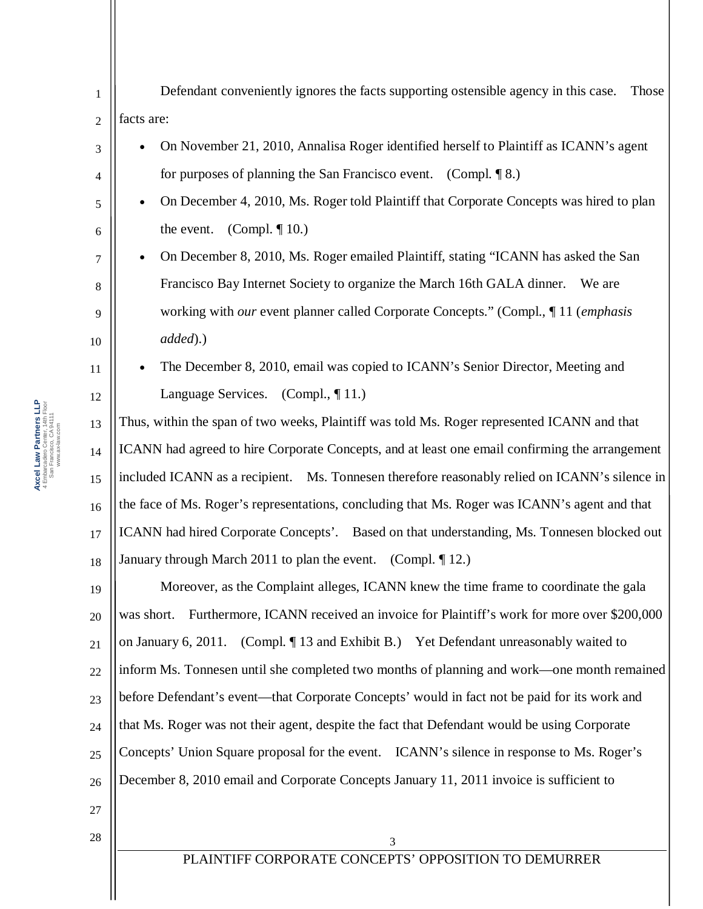Defendant conveniently ignores the facts supporting ostensible agency in this case. Those facts are:

- � On November 21, 2010, Annalisa Roger identified herself to Plaintiff as ICANN's agent for purposes of planning the San Francisco event. (Compl. ¶ 8.)
- � On December 4, 2010, Ms. Roger told Plaintiff that Corporate Concepts was hired to plan the event. (Compl.  $\P$  10.)
- � On December 8, 2010, Ms. Roger emailed Plaintiff, stating "ICANN has asked the San Francisco Bay Internet Society to organize the March 16th GALA dinner. We are working with *our* event planner called Corporate Concepts." (Compl., ¶ 11 (*emphasis added*).)
- � The December 8, 2010, email was copied to ICANN's Senior Director, Meeting and Language Services. (Compl., 11.)

13 14 15 16 17 18 Thus, within the span of two weeks, Plaintiff was told Ms. Roger represented ICANN and that ICANN had agreed to hire Corporate Concepts, and at least one email confirming the arrangement included ICANN as a recipient. Ms. Tonnesen therefore reasonably relied on ICANN's silence in the face of Ms. Roger's representations, concluding that Ms. Roger was ICANN's agent and that ICANN had hired Corporate Concepts'. Based on that understanding, Ms. Tonnesen blocked out January through March 2011 to plan the event. (Compl. ¶ 12.)

19 20 21 22 23 24 25 26 Moreover, as the Complaint alleges, ICANN knew the time frame to coordinate the gala was short. Furthermore, ICANN received an invoice for Plaintiff's work for more over \$200,000 on January 6, 2011. (Compl. ¶ 13 and Exhibit B.) Yet Defendant unreasonably waited to inform Ms. Tonnesen until she completed two months of planning and work—one month remained before Defendant's event—that Corporate Concepts' would in fact not be paid for its work and that Ms. Roger was not their agent, despite the fact that Defendant would be using Corporate Concepts' Union Square proposal for the event. ICANN's silence in response to Ms. Roger's December 8, 2010 email and Corporate Concepts January 11, 2011 invoice is sufficient to

27 28

1

2

3

4

5

6

7

8

9

10

11

12

PLAINTIFF CORPORATE CONCEPTS' OPPOSITION TO DEMURRER 3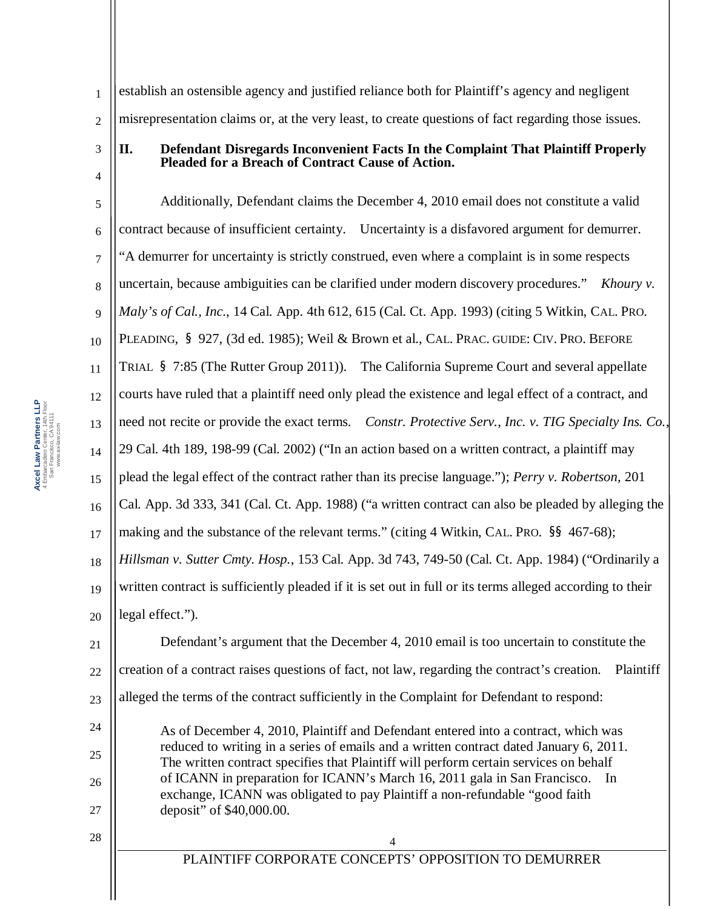3

4

1 2 establish an ostensible agency and justified reliance both for Plaintiff's agency and negligent misrepresentation claims or, at the very least, to create questions of fact regarding those issues.

**II. Defendant Disregards Inconvenient Facts In the Complaint That Plaintiff Properly Pleaded for a Breach of Contract Cause of Action.** 

5 6 7 8 9 10 11 12 13 14 15 16 17 18 19 20 21 Additionally, Defendant claims the December 4, 2010 email does not constitute a valid contract because of insufficient certainty. Uncertainty is a disfavored argument for demurrer. "A demurrer for uncertainty is strictly construed, even where a complaint is in some respects uncertain, because ambiguities can be clarified under modern discovery procedures." *Khoury v. Maly's of Cal., Inc.*, 14 Cal. App. 4th 612, 615 (Cal. Ct. App. 1993) (citing 5 Witkin, CAL. PRO. PLEADING, § 927, (3d ed. 1985); Weil & Brown et al., CAL. PRAC. GUIDE: CIV. PRO. BEFORE TRIAL § 7:85 (The Rutter Group 2011)). The California Supreme Court and several appellate courts have ruled that a plaintiff need only plead the existence and legal effect of a contract, and need not recite or provide the exact terms. *Constr. Protective Serv., Inc. v. TIG Specialty Ins. Co.*, 29 Cal. 4th 189, 198-99 (Cal. 2002) ("In an action based on a written contract, a plaintiff may plead the legal effect of the contract rather than its precise language."); *Perry v. Robertson*, 201 Cal. App. 3d 333, 341 (Cal. Ct. App. 1988) ("a written contract can also be pleaded by alleging the making and the substance of the relevant terms." (citing 4 Witkin, CAL. PRO. §§ 467-68); *Hillsman v. Sutter Cmty. Hosp.*, 153 Cal. App. 3d 743, 749-50 (Cal. Ct. App. 1984) ("Ordinarily a written contract is sufficiently pleaded if it is set out in full or its terms alleged according to their legal effect."). Defendant's argument that the December 4, 2010 email is too uncertain to constitute the

22 creation of a contract raises questions of fact, not law, regarding the contract's creation. Plaintiff

23 alleged the terms of the contract sufficiently in the Complaint for Defendant to respond:

As of December 4, 2010, Plaintiff and Defendant entered into a contract, which was reduced to writing in a series of emails and a written contract dated January 6, 2011. The written contract specifies that Plaintiff will perform certain services on behalf of ICANN in preparation for ICANN's March 16, 2011 gala in San Francisco. In exchange, ICANN was obligated to pay Plaintiff a non-refundable "good faith deposit" of \$40,000.00.

28

24

25

26

27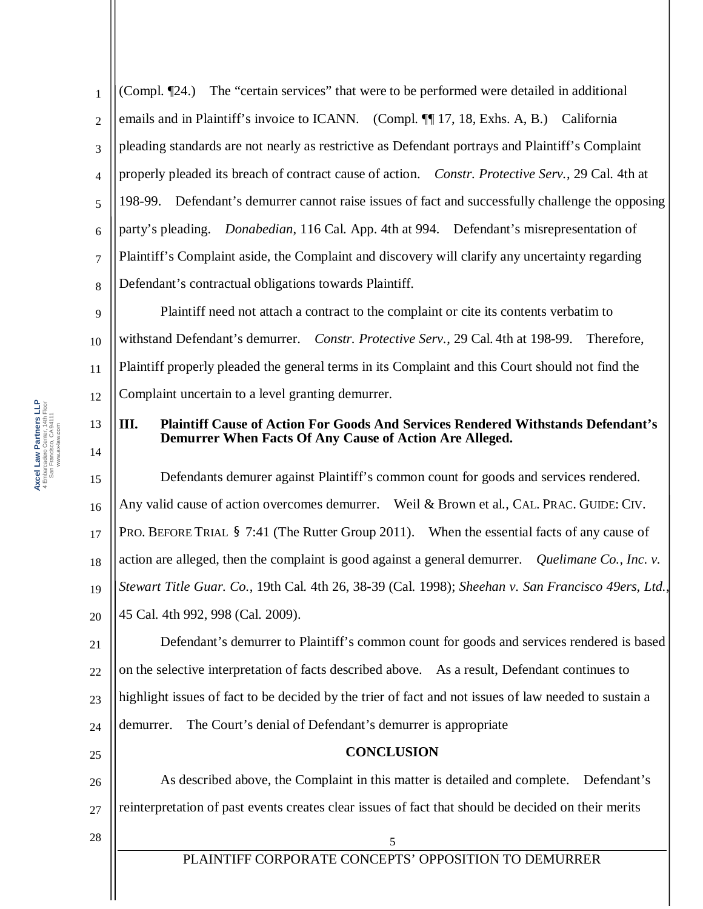4 6 (Compl. ¶24.) The "certain services" that were to be performed were detailed in additional emails and in Plaintiff's invoice to ICANN. (Compl. ¶ 17, 18, Exhs. A, B.) California pleading standards are not nearly as restrictive as Defendant portrays and Plaintiff's Complaint properly pleaded its breach of contract cause of action. *Constr. Protective Serv.*, 29 Cal. 4th at 198-99. Defendant's demurrer cannot raise issues of fact and successfully challenge the opposing party's pleading. *Donabedian*, 116 Cal. App. 4th at 994. Defendant's misrepresentation of Plaintiff's Complaint aside, the Complaint and discovery will clarify any uncertainty regarding Defendant's contractual obligations towards Plaintiff.

9 10 11 12 Plaintiff need not attach a contract to the complaint or cite its contents verbatim to withstand Defendant's demurrer. *Constr. Protective Serv.*, 29 Cal. 4th at 198-99. Therefore, Plaintiff properly pleaded the general terms in its Complaint and this Court should not find the Complaint uncertain to a level granting demurrer.

## **III. Plaintiff Cause of Action For Goods And Services Rendered Withstands Defendant's Demurrer When Facts Of Any Cause of Action Are Alleged.**

15 16 17 18 19 20 Defendants demurer against Plaintiff's common count for goods and services rendered. Any valid cause of action overcomes demurrer. Weil & Brown et al., CAL. PRAC. GUIDE: CIV. PRO. BEFORE TRIAL § 7:41 (The Rutter Group 2011). When the essential facts of any cause of action are alleged, then the complaint is good against a general demurrer. *Quelimane Co., Inc. v. Stewart Title Guar. Co.*, 19th Cal. 4th 26, 38-39 (Cal. 1998); *Sheehan v. San Francisco 49ers, Ltd.*, 45 Cal. 4th 992, 998 (Cal. 2009).

21 22 23 24 Defendant's demurrer to Plaintiff's common count for goods and services rendered is based on the selective interpretation of facts described above. As a result, Defendant continues to highlight issues of fact to be decided by the trier of fact and not issues of law needed to sustain a demurrer. The Court's denial of Defendant's demurrer is appropriate

## **CONCLUSION**

26 27 As described above, the Complaint in this matter is detailed and complete. Defendant's reinterpretation of past events creates clear issues of fact that should be decided on their merits

28

25

1

2

3

5

7

8

13

14